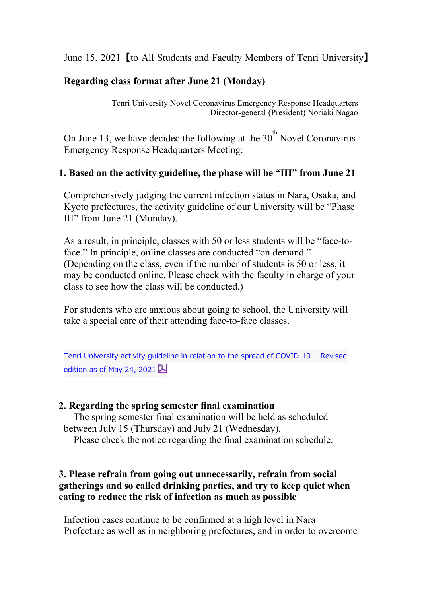June 15, 2021【to All Students and Faculty Members of Tenri University】

# **Regarding class format after June 21 (Monday)**

Tenri University Novel Coronavirus Emergency Response Headquarters Director-general (President) Noriaki Nagao

On June 13, we have decided the following at the  $30<sup>th</sup>$  Novel Coronavirus Emergency Response Headquarters Meeting:

## **1. Based on the activity guideline, the phase will be "III" from June 21**

Comprehensively judging the current infection status in Nara, Osaka, and Kyoto prefectures, the activity guideline of our University will be "Phase III" from June 21 (Monday).

As a result, in principle, classes with 50 or less students will be "face-toface." In principle, online classes are conducted "on demand." (Depending on the class, even if the number of students is 50 or less, it may be conducted online. Please check with the faculty in charge of your class to see how the class will be conducted.)

For students who are anxious about going to school, the University will take a special care of their attending face-to-face classes.

Tenri University activity guideline in relation to the spread of COVID-19 Revised [edition as of May 24, 2021](https://www.tenri-u.ac.jp/topics/q3tncs000020mr2m-att/phase3_e.pdf)  $\mathbb{R}$ 

#### **2. Regarding the spring semester final examination**

 The spring semester final examination will be held as scheduled between July 15 (Thursday) and July 21 (Wednesday).

Please check the notice regarding the final examination schedule.

## **3. Please refrain from going out unnecessarily, refrain from social gatherings and so called drinking parties, and try to keep quiet when eating to reduce the risk of infection as much as possible**

Infection cases continue to be confirmed at a high level in Nara Prefecture as well as in neighboring prefectures, and in order to overcome